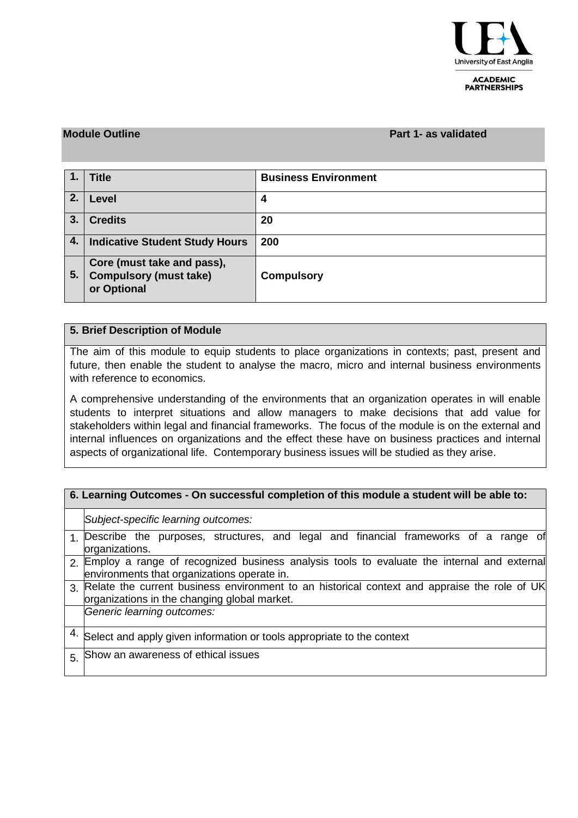

#### **ACADEMIC PARTNERSHIPS**

#### **Module Outline Part 1- as validated**

| $\mathbf{1}$ | <b>Title</b>                                                               | <b>Business Environment</b> |
|--------------|----------------------------------------------------------------------------|-----------------------------|
| 2.           | Level                                                                      | 4                           |
| 3.           | <b>Credits</b>                                                             | 20                          |
| 4.           | <b>Indicative Student Study Hours</b>                                      | 200                         |
| 5.           | Core (must take and pass),<br><b>Compulsory (must take)</b><br>or Optional | <b>Compulsory</b>           |

## **5. Brief Description of Module**

The aim of this module to equip students to place organizations in contexts; past, present and future, then enable the student to analyse the macro, micro and internal business environments with reference to economics.

A comprehensive understanding of the environments that an organization operates in will enable students to interpret situations and allow managers to make decisions that add value for stakeholders within legal and financial frameworks. The focus of the module is on the external and internal influences on organizations and the effect these have on business practices and internal aspects of organizational life. Contemporary business issues will be studied as they arise.

## **6. Learning Outcomes - On successful completion of this module a student will be able to:**

*Subject-specific learning outcomes:*

- 1. Describe the purposes, structures, and legal and financial frameworks of a range of organizations.
- 2. Employ a range of recognized business analysis tools to evaluate the internal and external environments that organizations operate in.
- 3. Relate the current business environment to an historical context and appraise the role of UK organizations in the changing global market.

*Generic learning outcomes:*

- 4. Select and apply given information or tools appropriate to the context
- 5. Show an awareness of ethical issues